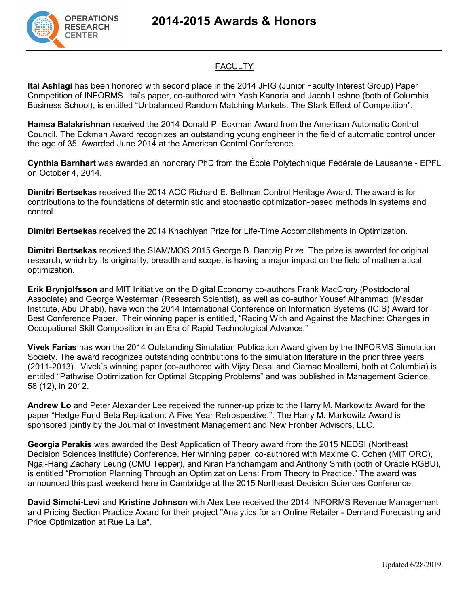**2014-2015 Awards & Honors**



## **FACULTY**

**Itai Ashlagi** has been honored with second place in the 2014 JFIG (Junior Faculty Interest Group) Paper Competition of INFORMS. Itai's paper, co-authored with Yash Kanoria and Jacob Leshno (both of Columbia Business School), is entitled "Unbalanced Random Matching Markets: The Stark Effect of Competition".

**Hamsa Balakrishnan** received the 2014 Donald P. Eckman Award from the American Automatic Control Council. The Eckman Award recognizes an outstanding young engineer in the field of automatic control under the age of 35. Awarded June 2014 at the American Control Conference.

**Cynthia Barnhart** was awarded an honorary PhD from the École Polytechnique Fédérale de Lausanne - EPFL on October 4, 2014.

**Dimitri Bertsekas** received the 2014 ACC Richard E. Bellman Control Heritage Award. The award is for contributions to the foundations of deterministic and stochastic optimization-based methods in systems and control.

**Dimitri Bertsekas** received the 2014 Khachiyan Prize for Life-Time Accomplishments in Optimization.

**Dimitri Bertsekas** received the SIAM/MOS 2015 George B. Dantzig Prize. The prize is awarded for original research, which by its originality, breadth and scope, is having a major impact on the field of mathematical optimization.

**Erik Brynjolfsson** and MIT Initiative on the Digital Economy co-authors Frank MacCrory (Postdoctoral Associate) and George Westerman (Research Scientist), as well as co-author Yousef Alhammadi (Masdar Institute, Abu Dhabi), have won the 2014 International Conference on Information Systems (ICIS) Award for Best Conference Paper. Their winning paper is entitled, "Racing With and Against the Machine: Changes in Occupational Skill Composition in an Era of Rapid Technological Advance."

**Vivek Farias** has won the 2014 Outstanding Simulation Publication Award given by the INFORMS Simulation Society. The award recognizes outstanding contributions to the simulation literature in the prior three years (2011-2013). Vivek's winning paper (co-authored with Vijay Desai and Ciamac Moallemi, both at Columbia) is entitled "Pathwise Optimization for Optimal Stopping Problems" and was published in Management Science, 58 (12), in 2012.

**Andrew Lo** and Peter Alexander Lee received the runner-up prize to the Harry M. Markowitz Award for the paper "Hedge Fund Beta Replication: A Five Year Retrospective.". The Harry M. Markowitz Award is sponsored jointly by the Journal of Investment Management and New Frontier Advisors, LLC.

**Georgia Perakis** was awarded the Best Application of Theory award from the 2015 NEDSI (Northeast Decision Sciences Institute) Conference. Her winning paper, co-authored with Maxime C. Cohen (MIT ORC), Ngai-Hang Zachary Leung (CMU Tepper), and Kiran Panchamgam and Anthony Smith (both of Oracle RGBU), is entitled "Promotion Planning Through an Optimization Lens: From Theory to Practice." The award was announced this past weekend here in Cambridge at the 2015 Northeast Decision Sciences Conference.

**David Simchi-Levi** and **Kristine Johnson** with Alex Lee received the 2014 INFORMS Revenue Management and Pricing Section Practice Award for their project "Analytics for an Online Retailer - Demand Forecasting and Price Optimization at Rue La La".